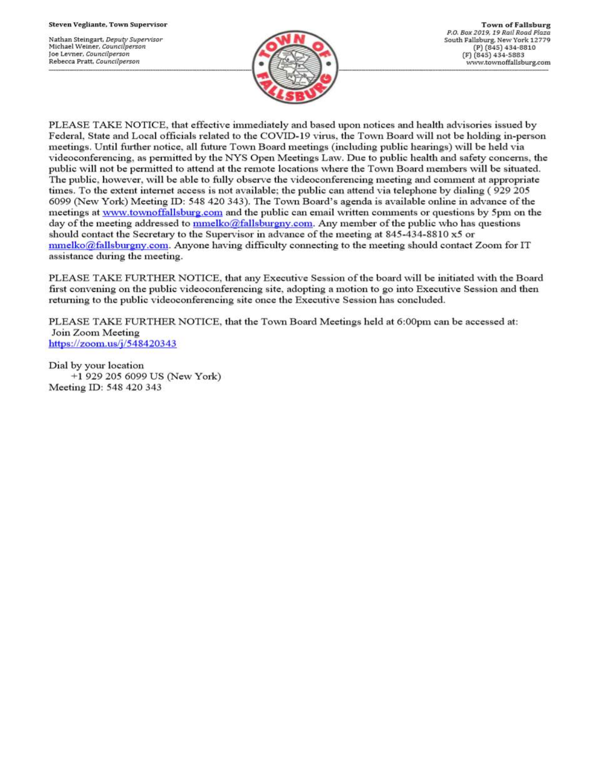Nathan Steingart, Deputy Supervisor Michael Weiner, Councilperson Joe Levner, Councilperson Rebecca Pratt, Councilperson



PLEASE TAKE NOTICE, that effective immediately and based upon notices and health advisories issued by Federal, State and Local officials related to the COVID-19 virus, the Town Board will not be holding in-person meetings. Until further notice, all future Town Board meetings (including public hearings) will be held via videoconferencing, as permitted by the NYS Open Meetings Law. Due to public health and safety concerns, the public will not be permitted to attend at the remote locations where the Town Board members will be situated. The public, however, will be able to fully observe the videoconferencing meeting and comment at appropriate times. To the extent internet access is not available; the public can attend via telephone by dialing (929 205 6099 (New York) Meeting ID: 548 420 343). The Town Board's agenda is available online in advance of the meetings at www.townoffallsburg.com and the public can email written comments or questions by 5pm on the day of the meeting addressed to  $\frac{mmelko@fallsburgny.com}{mclubuygny.com}$ . Any member of the public who has questions should contact the Secretary to the Supervisor in advance of the meeting at 845-434-8810 x5 or  $mmelko@fallsburgny.com.$  Anyone having difficulty connecting to the meeting should contact Zoom for IT assistance during the meeting.

PLEASE TAKE FURTHER NOTICE, that any Executive Session of the board will be initiated with the Board first convening on the public videoconferencing site, adopting a motion to go into Executive Session and then returning to the public videoconferencing site once the Executive Session has concluded.

PLEASE TAKE FURTHER NOTICE, that the Town Board Meetings held at 6:00pm can be accessed at: Join Zoom Meeting https://zoom.us/j/548420343

Dial by your location +1 929 205 6099 US (New York) Meeting ID: 548 420 343